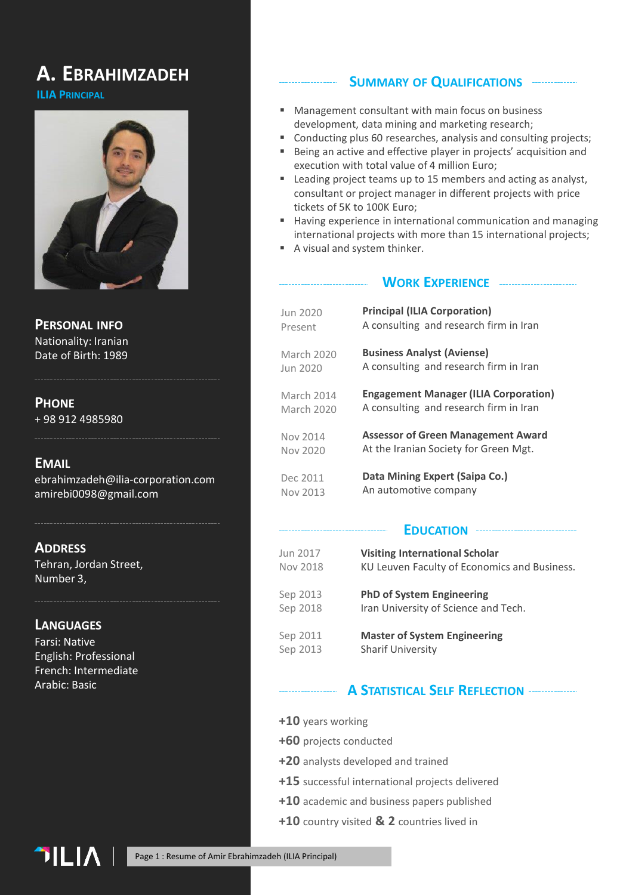## **A. EBRAHIMZADEH**

### **ILIA PRINCIPAL**



**PERSONAL INFO** Nationality: Iranian Date of Birth: 1989

### **PHONE**

+ 98 912 4985980

### **EMAIL**

ebrahimzadeh@ilia-corporation.com amirebi0098@gmail.com

**ADDRESS**

Tehran, Jordan Street, Number 3,

## **LANGUAGES**

Farsi: Native English: Professional French: Intermediate Arabic: Basic

### **SUMMARY OF QUALIFICATIONS**

- Management consultant with main focus on business development, data mining and marketing research;
- Conducting plus 60 researches, analysis and consulting projects;
- Being an active and effective player in projects' acquisition and execution with total value of 4 million Euro;
- Leading project teams up to 15 members and acting as analyst, consultant or project manager in different projects with price tickets of 5K to 100K Euro;
- Having experience in international communication and managing international projects with more than 15 international projects;
- A visual and system thinker.

#### **WORK EXPERIENCE**

| Jun 2020   | <b>Principal (ILIA Corporation)</b>          |
|------------|----------------------------------------------|
| Present    | A consulting and research firm in Iran       |
| March 2020 | <b>Business Analyst (Aviense)</b>            |
| Jun 2020   | A consulting and research firm in Iran       |
| March 2014 | <b>Engagement Manager (ILIA Corporation)</b> |
| March 2020 | A consulting and research firm in Iran       |
| Nov 2014   | <b>Assessor of Green Management Award</b>    |
| Nov 2020   | At the Iranian Society for Green Mgt.        |
| Dec 2011   | Data Mining Expert (Saipa Co.)               |
| Nov 2013   | An automotive company                        |

#### **EDUCATION**

| Jun 2017 | <b>Visiting International Scholar</b>        |
|----------|----------------------------------------------|
| Nov 2018 | KU Leuven Faculty of Economics and Business. |
| Sep 2013 | <b>PhD of System Engineering</b>             |
| Sep 2018 | Iran University of Science and Tech.         |
| Sep 2011 | <b>Master of System Engineering</b>          |
| Sep 2013 | <b>Sharif University</b>                     |

### **A STATISTICAL SELF REFLECTION**

- **+10** years working
- **+60** projects conducted
- **+20** analysts developed and trained
- **+15** successful international projects delivered
- **+10** academic and business papers published
- **+10** country visited **& 2** countries lived in

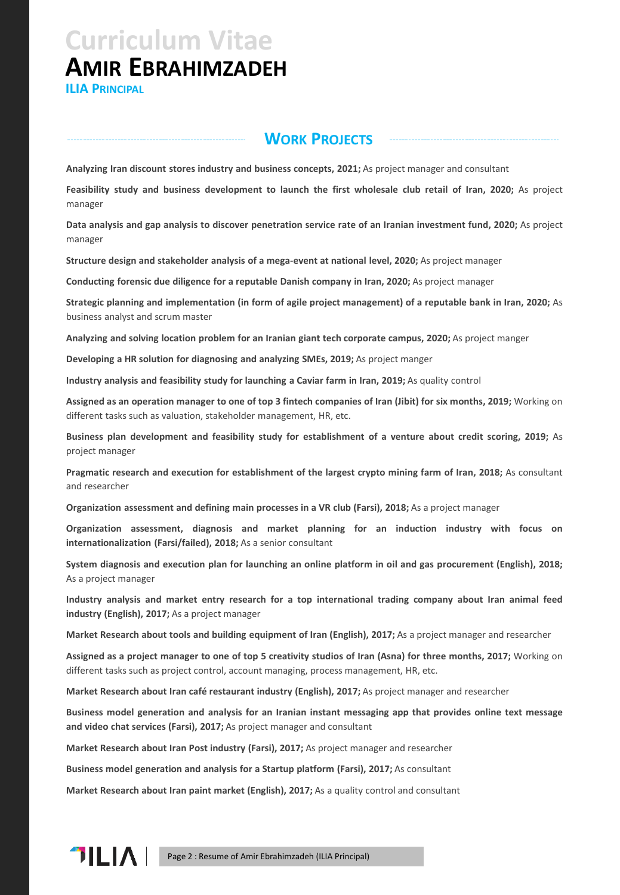**ILIA PRINCIPAL**

## **WORK PROJECTS**

**Analyzing Iran discount stores industry and business concepts, 2021;** As project manager and consultant

**Feasibility study and business development to launch the first wholesale club retail of Iran, 2020;** As project manager

Data analysis and gap analysis to discover penetration service rate of an Iranian investment fund, 2020; As project manager

**Structure design and stakeholder analysis of a mega-event at national level, 2020;** As project manager

**Conducting forensic due diligence for a reputable Danish company in Iran, 2020;** As project manager

Strategic planning and implementation (in form of agile project management) of a reputable bank in Iran, 2020; As business analyst and scrum master

**Analyzing and solving location problem for an Iranian giant tech corporate campus, 2020;** As project manger

**Developing a HR solution for diagnosing and analyzing SMEs, 2019;** As project manger

**Industry analysis and feasibility study for launching a Caviar farm in Iran, 2019;** As quality control

Assigned as an operation manager to one of top 3 fintech companies of Iran (Jibit) for six months, 2019; Working on different tasks such as valuation, stakeholder management, HR, etc.

**Business plan development and feasibility study for establishment of a venture about credit scoring, 2019;** As project manager

**Pragmatic research and execution for establishment of the largest crypto mining farm of Iran, 2018;** As consultant and researcher

**Organization assessment and defining main processes in a VR club (Farsi), 2018;** As a project manager

**Organization assessment, diagnosis and market planning for an induction industry with focus on internationalization (Farsi/failed), 2018;** As a senior consultant

System diagnosis and execution plan for launching an online platform in oil and gas procurement (English), 2018; As a project manager

**Industry analysis and market entry research for a top international trading company about Iran animal feed industry (English), 2017;** As a project manager

**Market Research about tools and building equipment of Iran (English), 2017;** As a project manager and researcher

Assigned as a project manager to one of top 5 creativity studios of Iran (Asna) for three months, 2017; Working on different tasks such as project control, account managing, process management, HR, etc.

**Market Research about Iran café restaurant industry (English), 2017;** As project manager and researcher

**Business model generation and analysis for an Iranian instant messaging app that provides online text message and video chat services (Farsi), 2017;** As project manager and consultant

**Market Research about Iran Post industry (Farsi), 2017;** As project manager and researcher

**Business model generation and analysis for a Startup platform (Farsi), 2017;** As consultant

**Market Research about Iran paint market (English), 2017;** As a quality control and consultant

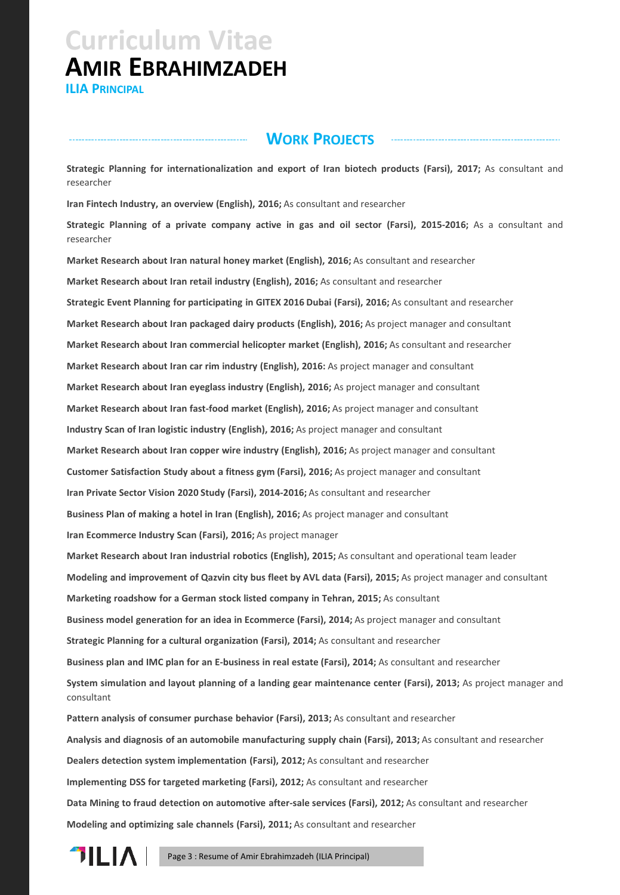**ILIA PRINCIPAL**

## **WORK PROJECTS**

**Strategic Planning for internationalization and export of Iran biotech products (Farsi), 2017;** As consultant and researcher

**Iran Fintech Industry, an overview (English), 2016;** As consultant and researcher

**Strategic Planning of a private company active in gas and oil sector (Farsi), 2015-2016;** As a consultant and researcher

**Market Research about Iran natural honey market (English), 2016;** As consultant and researcher **Market Research about Iran retail industry (English), 2016;** As consultant and researcher **Strategic Event Planning for participating in GITEX 2016 Dubai (Farsi), 2016;** As consultant and researcher **Market Research about Iran packaged dairy products (English), 2016;** As project manager and consultant **Market Research about Iran commercial helicopter market (English), 2016;** As consultant and researcher **Market Research about Iran car rim industry (English), 2016:** As project manager and consultant **Market Research about Iran eyeglass industry (English), 2016;** As project manager and consultant **Market Research about Iran fast-food market (English), 2016;** As project manager and consultant **Industry Scan of Iran logistic industry (English), 2016;** As project manager and consultant **Market Research about Iran copper wire industry (English), 2016;** As project manager and consultant **Customer Satisfaction Study about a fitness gym (Farsi), 2016;** As project manager and consultant **Iran Private Sector Vision 2020 Study (Farsi), 2014-2016;** As consultant and researcher **Business Plan of making a hotel in Iran (English), 2016;** As project manager and consultant **Iran Ecommerce Industry Scan (Farsi), 2016;** As project manager **Market Research about Iran industrial robotics (English), 2015;** As consultant and operational team leader **Modeling and improvement of Qazvin city bus fleet by AVL data (Farsi), 2015;** As project manager and consultant **Marketing roadshow for a German stock listed company in Tehran, 2015;** As consultant **Business model generation for an idea in Ecommerce (Farsi), 2014;** As project manager and consultant **Strategic Planning for a cultural organization (Farsi), 2014;** As consultant and researcher **Business plan and IMC plan for an E-business in real estate (Farsi), 2014;** As consultant and researcher **System simulation and layout planning of a landing gear maintenance center (Farsi), 2013;** As project manager and consultant **Pattern analysis of consumer purchase behavior (Farsi), 2013;** As consultant and researcher **Analysis and diagnosis of an automobile manufacturing supply chain (Farsi), 2013;** As consultant and researcher **Dealers detection system implementation (Farsi), 2012;** As consultant and researcher **Implementing DSS for targeted marketing (Farsi), 2012;** As consultant and researcher **Data Mining to fraud detection on automotive after-sale services (Farsi), 2012;** As consultant and researcher **Modeling and optimizing sale channels (Farsi), 2011;** As consultant and researcher

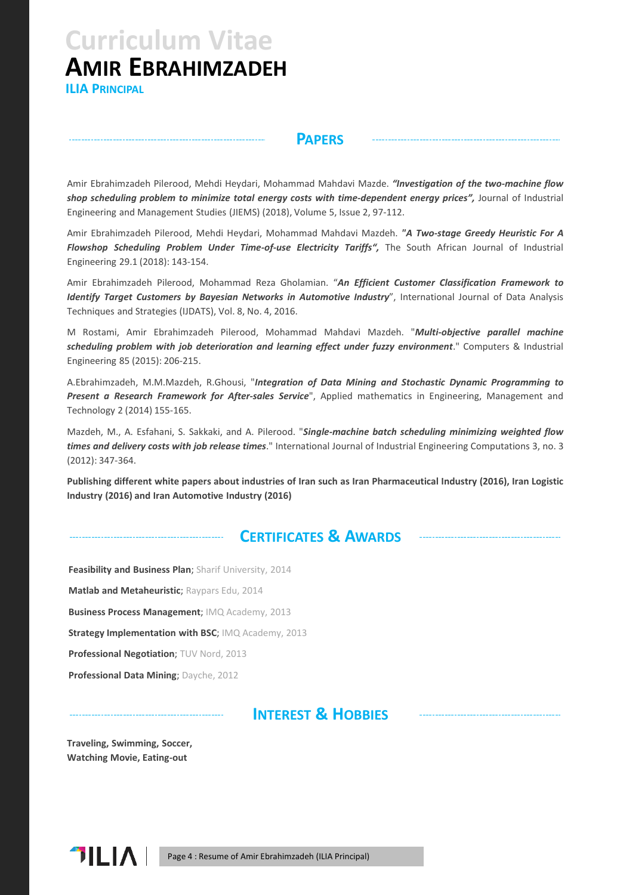**ILIA PRINCIPAL**

### **PAPERS**

Amir Ebrahimzadeh Pilerood, Mehdi Heydari, Mohammad Mahdavi Mazde. *"Investigation of the two-machine flow shop scheduling problem to minimize total energy costs with time-dependent energy prices",* Journal of Industrial Engineering and Management Studies (JIEMS) (2018), Volume 5, Issue 2, 97-112.

Amir Ebrahimzadeh Pilerood, Mehdi Heydari, Mohammad Mahdavi Mazdeh. *"A Two-stage Greedy Heuristic For A Flowshop Scheduling Problem Under Time-of-use Electricity Tariffs",* The South African Journal of Industrial Engineering 29.1 (2018): 143-154.

Amir Ebrahimzadeh Pilerood, Mohammad Reza Gholamian. "*An Efficient Customer Classification Framework to Identify Target Customers by Bayesian Networks in Automotive Industry*", International Journal of Data Analysis Techniques and Strategies (IJDATS), Vol. 8, No. 4, 2016.

M Rostami, Amir Ebrahimzadeh Pilerood, Mohammad Mahdavi Mazdeh. "*Multi-objective parallel machine scheduling problem with job deterioration and learning effect under fuzzy environment*." Computers & Industrial Engineering 85 (2015): 206-215.

A.Ebrahimzadeh, M.M.Mazdeh, R.Ghousi, "*Integration of Data Mining and Stochastic Dynamic Programming to Present a Research Framework for After-sales Service*", Applied mathematics in Engineering, Management and Technology 2 (2014) 155-165.

Mazdeh, M., A. Esfahani, S. Sakkaki, and A. Pilerood. "*Single-machine batch scheduling minimizing weighted flow times and delivery costs with job release times*." International Journal of Industrial Engineering Computations 3, no. 3 (2012): 347-364.

Publishing different white papers about industries of Iran such as Iran Pharmaceutical Industry (2016), Iran Logistic **Industry (2016) and Iran Automotive Industry (2016)**

## **CERTIFICATES & AWARDS**

**Feasibility and Business Plan**; Sharif University, 2014 **Matlab and Metaheuristic**; Raypars Edu, 2014 **Business Process Management**; IMQ Academy, 2013 **Strategy Implementation with BSC**; IMQ Academy, 2013 **Professional Negotiation**; TUV Nord, 2013 **Professional Data Mining**; Dayche, 2012

. . . . . . . . . . . . . . . . .

**INTEREST & HOBBIES**

**Traveling, Swimming, Soccer, Watching Movie, Eating-out**